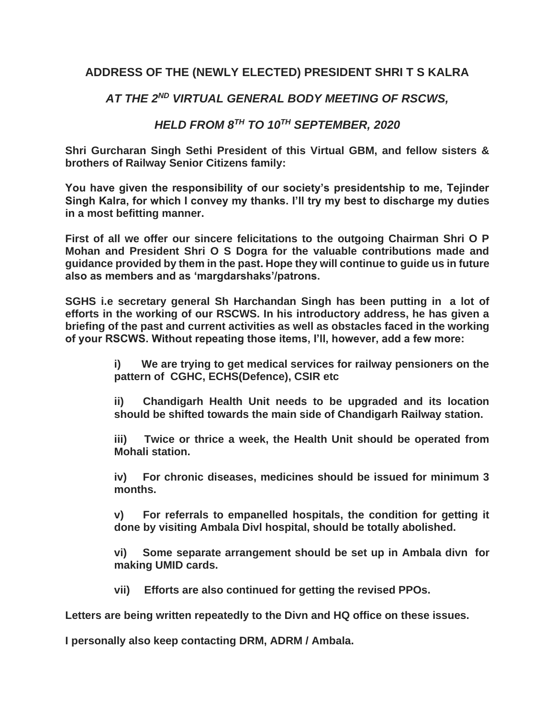## **ADDRESS OF THE (NEWLY ELECTED) PRESIDENT SHRI T S KALRA**

## *AT THE 2ND VIRTUAL GENERAL BODY MEETING OF RSCWS,*

## *HELD FROM 8TH TO 10TH SEPTEMBER, 2020*

**Shri Gurcharan Singh Sethi President of this Virtual GBM, and fellow sisters & brothers of Railway Senior Citizens family:**

**You have given the responsibility of our society's presidentship to me, Tejinder Singh Kalra, for which I convey my thanks. I'll try my best to discharge my duties in a most befitting manner.**

**First of all we offer our sincere felicitations to the outgoing Chairman Shri O P Mohan and President Shri O S Dogra for the valuable contributions made and guidance provided by them in the past. Hope they will continue to guide us in future also as members and as 'margdarshaks'/patrons.**

**SGHS i.e secretary general Sh Harchandan Singh has been putting in a lot of efforts in the working of our RSCWS. In his introductory address, he has given a briefing of the past and current activities as well as obstacles faced in the working of your RSCWS. Without repeating those items, I'll, however, add a few more:**

> **i) We are trying to get medical services for railway pensioners on the pattern of CGHC, ECHS(Defence), CSIR etc**

> **ii) Chandigarh Health Unit needs to be upgraded and its location should be shifted towards the main side of Chandigarh Railway station.**

> **iii) Twice or thrice a week, the Health Unit should be operated from Mohali station.**

> **iv) For chronic diseases, medicines should be issued for minimum 3 months.**

> **v) For referrals to empanelled hospitals, the condition for getting it done by visiting Ambala Divl hospital, should be totally abolished.**

> **vi) Some separate arrangement should be set up in Ambala divn for making UMID cards.**

**vii) Efforts are also continued for getting the revised PPOs.**

**Letters are being written repeatedly to the Divn and HQ office on these issues.**

**I personally also keep contacting DRM, ADRM / Ambala.**